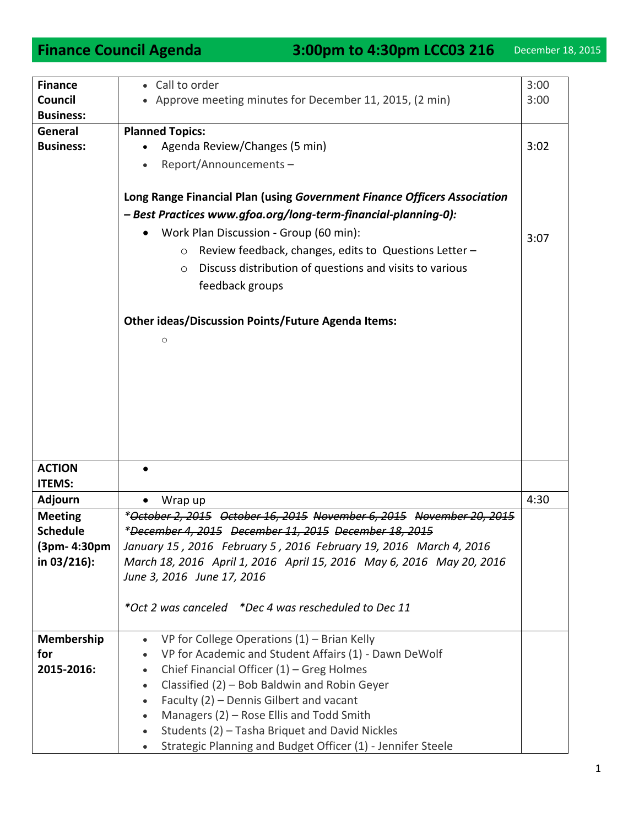| <b>Finance</b>   | Call to order<br>$\bullet$                                               | 3:00 |
|------------------|--------------------------------------------------------------------------|------|
| Council          | Approve meeting minutes for December 11, 2015, (2 min)                   | 3:00 |
| <b>Business:</b> |                                                                          |      |
| General          | <b>Planned Topics:</b>                                                   |      |
| <b>Business:</b> | Agenda Review/Changes (5 min)                                            | 3:02 |
|                  |                                                                          |      |
|                  | Report/Announcements-                                                    |      |
|                  |                                                                          |      |
|                  | Long Range Financial Plan (using Government Finance Officers Association |      |
|                  | - Best Practices www.gfoa.org/long-term-financial-planning-0):           |      |
|                  | Work Plan Discussion - Group (60 min):                                   |      |
|                  |                                                                          | 3:07 |
|                  | Review feedback, changes, edits to Questions Letter -<br>$\circ$         |      |
|                  | Discuss distribution of questions and visits to various<br>$\circ$       |      |
|                  | feedback groups                                                          |      |
|                  |                                                                          |      |
|                  |                                                                          |      |
|                  | <b>Other ideas/Discussion Points/Future Agenda Items:</b>                |      |
|                  | $\circ$                                                                  |      |
|                  |                                                                          |      |
|                  |                                                                          |      |
|                  |                                                                          |      |
|                  |                                                                          |      |
|                  |                                                                          |      |
|                  |                                                                          |      |
|                  |                                                                          |      |
|                  |                                                                          |      |
| <b>ACTION</b>    |                                                                          |      |
| <b>ITEMS:</b>    |                                                                          |      |
| Adjourn          | Wrap up                                                                  | 4:30 |
| <b>Meeting</b>   | *October 2, 2015 October 16, 2015 November 6, 2015 November 20, 2015     |      |
| <b>Schedule</b>  |                                                                          |      |
|                  | *December 4, 2015 December 11, 2015 December 18, 2015                    |      |
| (3pm- 4:30pm     | January 15, 2016 February 5, 2016 February 19, 2016 March 4, 2016        |      |
| in 03/216):      | March 18, 2016 April 1, 2016 April 15, 2016 May 6, 2016 May 20, 2016     |      |
|                  | June 3, 2016 June 17, 2016                                               |      |
|                  |                                                                          |      |
|                  | *Oct 2 was canceled *Dec 4 was rescheduled to Dec 11                     |      |
|                  |                                                                          |      |
| Membership       | VP for College Operations $(1)$ – Brian Kelly<br>$\bullet$               |      |
| for              | VP for Academic and Student Affairs (1) - Dawn DeWolf<br>$\bullet$       |      |
| 2015-2016:       | Chief Financial Officer $(1)$ – Greg Holmes<br>$\bullet$                 |      |
|                  | Classified (2) - Bob Baldwin and Robin Geyer<br>$\bullet$                |      |
|                  |                                                                          |      |
|                  | Faculty (2) - Dennis Gilbert and vacant<br>$\bullet$                     |      |
|                  | Managers (2) - Rose Ellis and Todd Smith<br>$\bullet$                    |      |
|                  | Students (2) - Tasha Briquet and David Nickles                           |      |
|                  | Strategic Planning and Budget Officer (1) - Jennifer Steele              |      |